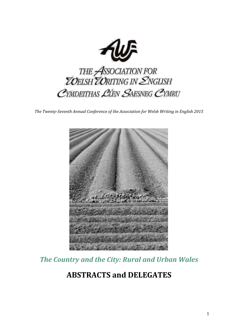

*The Twenty-Seventh Annual Conference of the Association for Welsh Writing in English 2015*



*The Country and the City: Rural and Urban Wales*

# **ABSTRACTS and DELEGATES**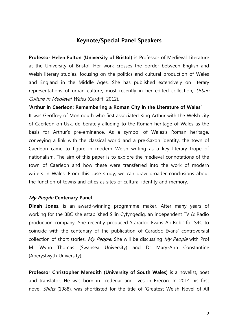#### **Keynote/Special Panel Speakers**

**Professor Helen Fulton (University of Bristol)** is Professor of Medieval Literature at the University of Bristol. Her work crosses the border between English and Welsh literary studies, focusing on the politics and cultural production of Wales and England in the Middle Ages. She has published extensively on literary representations of urban culture, most recently in her edited collection, Urban Culture in Medieval Wales (Cardiff, 2012).

**'Arthur in Caerleon: Remembering a Roman City in the Literature of Wales'**

It was Geoffrey of Monmouth who first associated King Arthur with the Welsh city of Caerleon-on-Usk, deliberately alluding to the Roman heritage of Wales as the basis for Arthur's pre-eminence. As a symbol of Wales's Roman heritage, conveying a link with the classical world and a pre-Saxon identity, the town of Caerleon came to figure in modern Welsh writing as a key literary trope of nationalism. The aim of this paper is to explore the medieval connotations of the town of Caerleon and how these were transferred into the work of modern writers in Wales. From this case study, we can draw broader conclusions about the function of towns and cities as sites of cultural identity and memory.

#### **My People Centenary Panel**

**Dinah Jones**, is an award-winning programme maker. After many years of working for the BBC she established Silin Cyfyngedig, an independent TV & Radio production company. She recently produced 'Caradoc Evans A'i Bobl' for S4C to coincide with the centenary of the publication of Caradoc Evans' controversial collection of short stories, My People. She will be discussing My People with Prof M. Wynn Thomas (Swansea University) and Dr Mary-Ann Constantine (Aberystwyth University).

**Professor Christopher Meredith (University of South Wales)** is a novelist, poet and translator. He was born in Tredegar and lives in Brecon. In 2014 his first novel, Shifts (1988), was shortlisted for the title of 'Greatest Welsh Novel of All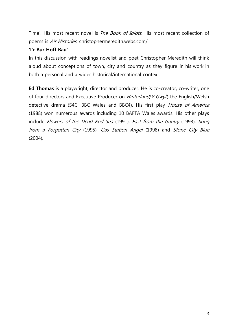Time'. His most recent novel is *The Book of Idiots*. His most recent collection of poems is Air Histories. christophermeredith.webs.com/

#### **'I'r Bur Hoff Bau'**

In this discussion with readings novelist and poet Christopher Meredith will think aloud about conceptions of town, city and country as they figure in his work in both a personal and a wider historical/international context.

**Ed Thomas** is a playwright, director and producer. He is co-creator, co-writer, one of four directors and Executive Producer on Hinterland/ Y Gwyll, the English/Welsh detective drama (S4C, BBC Wales and BBC4). His first play *House of America* (1988) won numerous awards including 10 BAFTA Wales awards. His other plays include Flowers of the Dead Red Sea (1991), East from the Gantry (1993), Song from a Forgotten City (1995), Gas Station Angel (1998) and Stone City Blue (2004).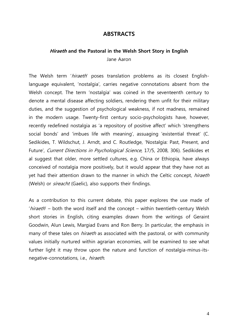#### **ABSTRACTS**

# **Hiraeth and the Pastoral in the Welsh Short Story in English**

Jane Aaron

The Welsh term 'hiraeth' poses translation problems as its closest Englishlanguage equivalent, 'nostalgia', carries negative connotations absent from the Welsh concept. The term 'nostalgia' was coined in the seventeenth century to denote a mental disease affecting soldiers, rendering them unfit for their military duties, and the suggestion of psychological weakness, if not madness, remained in the modern usage. Twenty-first century socio-psychologists have, however, recently redefined nostalgia as 'a repository of positive affect' which 'strengthens social bonds' and 'imbues life with meaning', assuaging 'existential threat' (C. Sedikides, T. Wildschut, J. Arndt, and C. Routledge, 'Nostalgia: Past, Present, and Future', Current Directions in Psychological Science, 17/5, 2008, 306). Sedikides et al suggest that older, more settled cultures, e.g. China or Ethiopia, have always conceived of nostalgia more positively, but it would appear that they have not as yet had their attention drawn to the manner in which the Celtic concept, *hiraeth* (Welsh) or *sireacht* (Gaelic), also supports their findings.

As a contribution to this current debate, this paper explores the use made of 'hiraeth' – both the word itself and the concept – within twentieth-century Welsh short stories in English, citing examples drawn from the writings of Geraint Goodwin, Alun Lewis, Margiad Evans and Ron Berry. In particular, the emphasis in many of these tales on *hiraeth* as associated with the pastoral, or with community values initially nurtured within agrarian economies, will be examined to see what further light it may throw upon the nature and function of nostalgia-minus-itsnegative-connotations, i.e., hiraeth.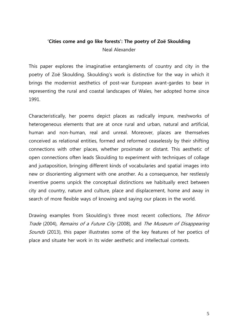## **'Cities come and go like forests': The poetry of Zoë Skoulding** Neal Alexander

This paper explores the imaginative entanglements of country and city in the poetry of Zoë Skoulding. Skoulding's work is distinctive for the way in which it brings the modernist aesthetics of post-war European avant-gardes to bear in representing the rural and coastal landscapes of Wales, her adopted home since 1991.

Characteristically, her poems depict places as radically impure, meshworks of heterogeneous elements that are at once rural and urban, natural and artificial, human and non-human, real and unreal. Moreover, places are themselves conceived as relational entities, formed and reformed ceaselessly by their shifting connections with other places, whether proximate or distant. This aesthetic of open connections often leads Skoulding to experiment with techniques of collage and juxtaposition, bringing different kinds of vocabularies and spatial images into new or disorienting alignment with one another. As a consequence, her restlessly inventive poems unpick the conceptual distinctions we habitually erect between city and country, nature and culture, place and displacement, home and away in search of more flexible ways of knowing and saying our places in the world.

Drawing examples from Skoulding's three most recent collections, The Mirror Trade (2004), Remains of a Future City (2008), and The Museum of Disappearing Sounds (2013), this paper illustrates some of the key features of her poetics of place and situate her work in its wider aesthetic and intellectual contexts.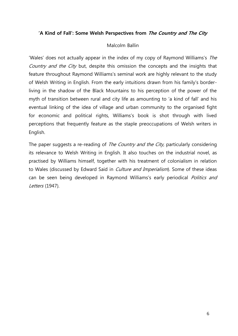#### **'A Kind of Fall': Some Welsh Perspectives from The Country and The City**

#### Malcolm Ballin

'Wales' does not actually appear in the index of my copy of Raymond Williams's The Country and the City but, despite this omission the concepts and the insights that feature throughout Raymond Williams's seminal work are highly relevant to the study of Welsh Writing in English. From the early intuitions drawn from his family's borderliving in the shadow of the Black Mountains to his perception of the power of the myth of transition between rural and city life as amounting to 'a kind of fall' and his eventual linking of the idea of village and urban community to the organised fight for economic and political rights, Williams's book is shot through with lived perceptions that frequently feature as the staple preoccupations of Welsh writers in English.

The paper suggests a re-reading of *The Country and the City*, particularly considering its relevance to Welsh Writing in English. It also touches on the industrial novel, as practised by Williams himself, together with his treatment of colonialism in relation to Wales (discussed by Edward Said in *Culture and Imperialism*). Some of these ideas can be seen being developed in Raymond Williams's early periodical *Politics and* Letters (1947).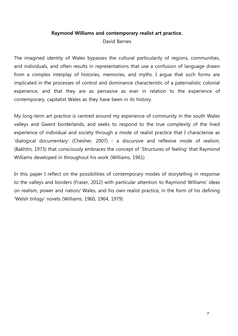#### **Raymond Williams and contemporary realist art practice.**

David Barnes

The imagined identity of Wales bypasses the cultural particularity of regions, communities, and individuals, and often results in representations that use a confusion of language drawn from a complex interplay of histories, memories, and myths. I argue that such forms are implicated in the processes of control and dominance characteristic of a paternalistic colonial experience, and that they are as pervasive as ever in relation to the experience of contemporary, capitalist Wales as they have been in its history.

My long-term art practice is centred around my experience of community in the south Wales valleys and Gwent borderlands, and seeks to respond to the true complexity of the lived experience of individual and society through a mode of realist practice that I characterise as 'dialogical documentary' (Chesher, 2007) - a discursive and reflexive mode of realism, (Bakhtin, 1973) that consciously embraces the concept of 'Structures of feeling' that Raymond Williams developed in throughout his work (Williams, 1961)

In this paper I reflect on the possibilities of contemporary modes of storytelling in response to the valleys and borders (Fraser, 2012) with particular attention to Raymond Williams' ideas on realism, power and nation/ Wales, and his own realist practice, in the form of his defining 'Welsh trilogy' novels (Williams, 1960, 1964, 1979)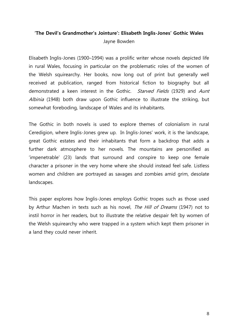## **'The Devil's Grandmother's Jointure': Elisabeth Inglis-Jones' Gothic Wales** Jayne Bowden

Elisabeth Inglis-Jones (1900–1994) was a prolific writer whose novels depicted life in rural Wales, focusing in particular on the problematic roles of the women of the Welsh squirearchy. Her books, now long out of print but generally well received at publication, ranged from historical fiction to biography but all demonstrated a keen interest in the Gothic. Starved Fields (1929) and Aunt Albinia (1948) both draw upon Gothic influence to illustrate the striking, but somewhat foreboding, landscape of Wales and its inhabitants.

The Gothic in both novels is used to explore themes of colonialism in rural Ceredigion, where Inglis-Jones grew up. In Inglis-Jones' work, it is the landscape, great Gothic estates and their inhabitants that form a backdrop that adds a further dark atmosphere to her novels. The mountains are personified as 'impenetrable' (23) lands that surround and conspire to keep one female character a prisoner in the very home where she should instead feel safe. Listless women and children are portrayed as savages and zombies amid grim, desolate landscapes.

This paper explores how Inglis-Jones employs Gothic tropes such as those used by Arthur Machen in texts such as his novel, The Hill of Dreams (1947) not to instil horror in her readers, but to illustrate the relative despair felt by women of the Welsh squirearchy who were trapped in a system which kept them prisoner in a land they could never inherit.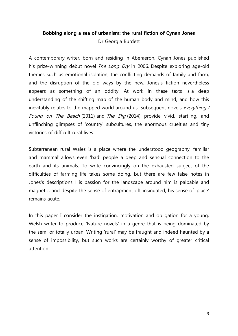#### **Bobbing along a sea of urbanism: the rural fiction of Cynan Jones** Dr Georgia Burdett

A contemporary writer, born and residing in Aberaeron, Cynan Jones published his prize-winning debut novel *The Long Dry* in 2006. Despite exploring age-old themes such as emotional isolation, the conflicting demands of family and farm, and the disruption of the old ways by the new, Jones's fiction nevertheless appears as something of an oddity. At work in these texts is a deep understanding of the shifting map of the human body and mind, and how this inevitably relates to the mapped world around us. Subsequent novels *Everything I* Found on The Beach (2011) and The Dig (2014) provide vivid, startling, and unflinching glimpses of 'country' subcultures, the enormous cruelties and tiny victories of difficult rural lives.

Subterranean rural Wales is a place where the 'understood geography, familiar and mammal' allows even 'bad' people a deep and sensual connection to the earth and its animals. To write convincingly on the exhausted subject of the difficulties of farming life takes some doing, but there are few false notes in Jones's descriptions. His passion for the landscape around him is palpable and magnetic, and despite the sense of entrapment oft-insinuated, his sense of 'place' remains acute.

In this paper I consider the instigation, motivation and obligation for a young, Welsh writer to produce 'Nature novels' in a genre that is being dominated by the semi or totally urban. Writing 'rural' may be fraught and indeed haunted by a sense of impossibility, but such works are certainly worthy of greater critical attention.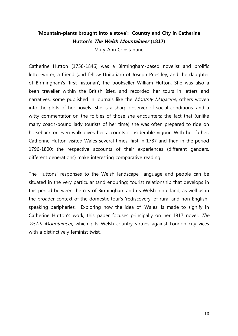#### **'Mountain-plants brought into a stove': Country and City in Catherine Hutton's The Welsh Mountaineer (1817)**

Mary-Ann Constantine

Catherine Hutton (1756-1846) was a Birmingham-based novelist and prolific letter-writer, a friend (and fellow Unitarian) of Joseph Priestley, and the daughter of Birmingham's 'first historian', the bookseller William Hutton. She was also a keen traveller within the British Isles, and recorded her tours in letters and narratives, some published in journals like the *Monthly Magazine*, others woven into the plots of her novels. She is a sharp observer of social conditions, and a witty commentator on the foibles of those she encounters; the fact that (unlike many coach-bound lady tourists of her time) she was often prepared to ride on horseback or even walk gives her accounts considerable vigour. With her father, Catherine Hutton visited Wales several times, first in 1787 and then in the period 1796-1800: the respective accounts of their experiences (different genders, different generations) make interesting comparative reading.

The Huttons' responses to the Welsh landscape, language and people can be situated in the very particular (and enduring) tourist relationship that develops in this period between the city of Birmingham and its Welsh hinterland, as well as in the broader context of the domestic tour's 'rediscovery' of rural and non-Englishspeaking peripheries. Exploring how the idea of 'Wales' is made to signify in Catherine Hutton's work, this paper focuses principally on her 1817 novel, The Welsh Mountaineer, which pits Welsh country virtues against London city vices with a distinctively feminist twist.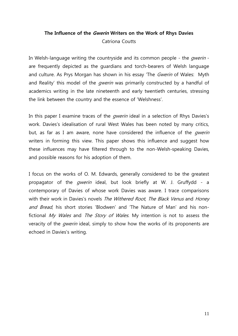## **The Influence of the Gwerin Writers on the Work of Rhys Davies** Catriona Coutts

In Welsh-language writing the countryside and its common people - the *qwerin* are frequently depicted as the guardians and torch-bearers of Welsh language and culture. As Prys Morgan has shown in his essay 'The *Gwerin* of Wales: Myth and Reality' this model of the *qwerin* was primarily constructed by a handful of academics writing in the late nineteenth and early twentieth centuries, stressing the link between the country and the essence of 'Welshness'.

In this paper I examine traces of the *qwerin* ideal in a selection of Rhys Davies's work. Davies's idealisation of rural West Wales has been noted by many critics, but, as far as I am aware, none have considered the influence of the *qwerin* writers in forming this view. This paper shows this influence and suggest how these influences may have filtered through to the non-Welsh-speaking Davies, and possible reasons for his adoption of them.

I focus on the works of O. M. Edwards, generally considered to be the greatest propagator of the *gwerin* ideal, but look briefly at W. J. Gruffydd - a contemporary of Davies of whose work Davies was aware. I trace comparisons with their work in Davies's novels The Withered Root, The Black Venus and Honey and Bread, his short stories 'Blodwen' and 'The Nature of Man' and his nonfictional My Wales and The Story of Wales. My intention is not to assess the veracity of the *qwerin* ideal, simply to show how the works of its proponents are echoed in Davies's writing.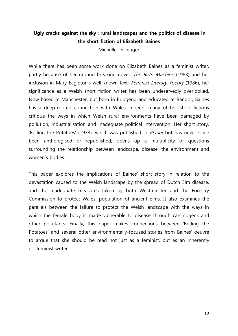#### **'Ugly cracks against the sky': rural landscapes and the politics of disease in the short fiction of Elizabeth Baines**

Michelle Deininger

While there has been some work done on Elizabeth Baines as a feminist writer, partly because of her ground-breaking novel, *The Birth Machine* (1983) and her inclusion in Mary Eagleton's well-known text, Feminist Literary Theory (1986), her significance as a Welsh short fiction writer has been undeservedly overlooked. Now based in Manchester, but born in Bridgend and educated at Bangor, Baines has a deep-rooted connection with Wales. Indeed, many of her short fictions critique the ways in which Welsh rural environments have been damaged by pollution, industrialisation and inadequate political intervention. Her short story, 'Boiling the Potatoes' (1978), which was published in *Planet* but has never since been anthologised or republished, opens up a multiplicity of questions surrounding the relationship between landscape, disease, the environment and women's bodies.

This paper explores the implications of Baines' short story in relation to the devastation caused to the Welsh landscape by the spread of Dutch Elm disease, and the inadequate measures taken by both Westminster and the Forestry Commission to protect Wales' population of ancient elms. It also examines the parallels between the failure to protect the Welsh landscape with the ways in which the female body is made vulnerable to disease through carcinogens and other pollutants. Finally, this paper makes connections between 'Boiling the Potatoes' and several other environmentally-focused stories from Baines' oeuvre to argue that she should be read not just as a feminist, but as an inherently ecofeminist writer.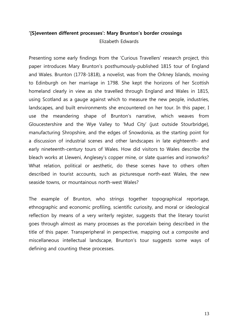## **'[S]eventeen different processes': Mary Brunton's border crossings** Elizabeth Edwards

Presenting some early findings from the 'Curious Travellers' research project, this paper introduces Mary Brunton's posthumously-published 1815 tour of England and Wales. Brunton (1778-1818), a novelist, was from the Orkney Islands, moving to Edinburgh on her marriage in 1798. She kept the horizons of her Scottish homeland clearly in view as she travelled through England and Wales in 1815, using Scotland as a gauge against which to measure the new people, industries, landscapes, and built environments she encountered on her tour. In this paper, I use the meandering shape of Brunton's narrative, which weaves from Gloucestershire and the Wye Valley to 'Mud City' (just outside Stourbridge), manufacturing Shropshire, and the edges of Snowdonia, as the starting point for a discussion of industrial scenes and other landscapes in late eighteenth- and early nineteenth-century tours of Wales. How did visitors to Wales describe the bleach works at Lleweni, Anglesey's copper mine, or slate quarries and ironworks? What relation, political or aesthetic, do these scenes have to others often described in tourist accounts, such as picturesque north-east Wales, the new seaside towns, or mountainous north-west Wales?

The example of Brunton, who strings together topographical reportage, ethnographic and economic profiling, scientific curiosity, and moral or ideological reflection by means of a very writerly register, suggests that the literary tourist goes through almost as many processes as the porcelain being described in the title of this paper. Transperipheral in perspective, mapping out a composite and miscellaneous intellectual landscape, Brunton's tour suggests some ways of defining and counting these processes.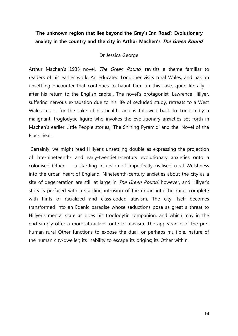#### **'The unknown region that lies beyond the Gray's Inn Road': Evolutionary anxiety in the country and the city in Arthur Machen's The Green Round**

#### Dr Jessica George

Arthur Machen's 1933 novel. The Green Round, revisits a theme familiar to readers of his earlier work. An educated Londoner visits rural Wales, and has an unsettling encounter that continues to haunt him—in this case, quite literally after his return to the English capital. The novel's protagonist, Lawrence Hillyer, suffering nervous exhaustion due to his life of secluded study, retreats to a West Wales resort for the sake of his health, and is followed back to London by a malignant, troglodytic figure who invokes the evolutionary anxieties set forth in Machen's earlier Little People stories, 'The Shining Pyramid' and the 'Novel of the Black Seal'.

Certainly, we might read Hillyer's unsettling double as expressing the projection of late-nineteenth- and early-twentieth-century evolutionary anxieties onto a colonised Other — a startling incursion of imperfectly-civilised rural Welshness into the urban heart of England. Nineteenth-century anxieties about the city as a site of degeneration are still at large in *The Green Round*, however, and Hillyer's story is prefaced with a startling intrusion of the urban into the rural, complete with hints of racialized and class-coded atavism. The city itself becomes transformed into an Edenic paradise whose seductions pose as great a threat to Hillyer's mental state as does his troglodytic companion, and which may in the end simply offer a more attractive route to atavism. The appearance of the prehuman rural Other functions to expose the dual, or perhaps multiple, nature of the human city-dweller; its inability to escape its origins; its Other within.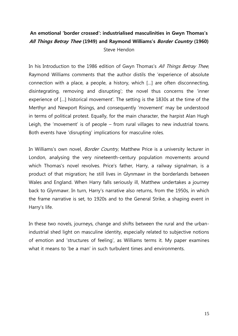## **An emotional 'border crossed': industrialised masculinities in Gwyn Thomas's All Things Betray Thee (1949) and Raymond Williams's Border Country (1960)** Steve Hendon

In his Introduction to the 1986 edition of Gwyn Thomas's All Things Betray Thee, Raymond Williams comments that the author distils the 'experience of absolute connection with a place, a people, a history, which […] are often disconnecting, disintegrating, removing and disrupting'; the novel thus concerns the 'inner experience of […] historical movement'. The setting is the 1830s at the time of the Merthyr and Newport Risings, and consequently 'movement' may be understood in terms of political protest. Equally, for the main character, the harpist Alan Hugh Leigh, the 'movement' is of people – from rural villages to new industrial towns. Both events have 'disrupting' implications for masculine roles.

In Williams's own novel, *Border Country*, Matthew Price is a university lecturer in London, analysing the very nineteenth-century population movements around which Thomas's novel revolves. Price's father, Harry, a railway signalman, is a product of that migration; he still lives in Glynmawr in the borderlands between Wales and England. When Harry falls seriously ill, Matthew undertakes a journey back to Glynmawr. In turn, Harry's narrative also returns, from the 1950s, in which the frame narrative is set, to 1920s and to the General Strike, a shaping event in Harry's life.

In these two novels, journeys, change and shifts between the rural and the urbanindustrial shed light on masculine identity, especially related to subjective notions of emotion and 'structures of feeling', as Williams terms it. My paper examines what it means to 'be a man' in such turbulent times and environments.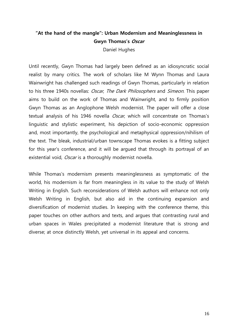## **"At the hand of the mangle": Urban Modernism and Meaninglessness in Gwyn Thomas's Oscar**

Daniel Hughes

Until recently, Gwyn Thomas had largely been defined as an idiosyncratic social realist by many critics. The work of scholars like M Wynn Thomas and Laura Wainwright has challenged such readings of Gwyn Thomas, particularly in relation to his three 1940s novellas: Oscar, The Dark Philosophers and Simeon. This paper aims to build on the work of Thomas and Wainwright, and to firmly position Gwyn Thomas as an Anglophone Welsh modernist. The paper will offer a close textual analysis of his 1946 novella Oscar, which will concentrate on Thomas's linguistic and stylistic experiment, his depiction of socio-economic oppression and, most importantly, the psychological and metaphysical oppression/nihilism of the text. The bleak, industrial/urban townscape Thomas evokes is a fitting subject for this year's conference, and it will be argued that through its portrayal of an existential void, Oscar is a thoroughly modernist novella.

While Thomas's modernism presents meaninglessness as symptomatic of the world, his modernism is far from meaningless in its value to the study of Welsh Writing in English. Such reconsiderations of Welsh authors will enhance not only Welsh Writing in English, but also aid in the continuing expansion and diversification of modernist studies. In keeping with the conference theme, this paper touches on other authors and texts, and argues that contrasting rural and urban spaces in Wales precipitated a modernist literature that is strong and diverse; at once distinctly Welsh, yet universal in its appeal and concerns.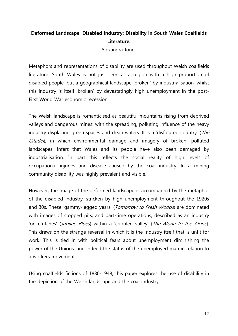#### **Deformed Landscape, Disabled Industry: Disability in South Wales Coalfields Literature.**

Alexandra Jones

Metaphors and representations of disability are used throughout Welsh coalfields literature. South Wales is not just seen as a region with a high proportion of disabled people, but a geographical landscape 'broken' by industrialisation, whilst this industry is itself 'broken' by devastatingly high unemployment in the post-First World War economic recession.

The Welsh landscape is romanticised as beautiful mountains rising from deprived valleys and dangerous mines: with the spreading, polluting influence of the heavy industry displacing green spaces and clean waters. It is a 'disfigured country' (*The* Citadel), in which environmental damage and imagery of broken, polluted landscapes, infers that Wales and its people have also been damaged by industrialisation. In part this reflects the social reality of high levels of occupational injuries and disease caused by the coal industry. In a mining community disability was highly prevalent and visible.

However, the image of the deformed landscape is accompanied by the metaphor of the disabled industry, stricken by high unemployment throughout the 1920s and 30s. These 'gammy-legged years' (*Tomorrow to Fresh Woods*) are dominated with images of stopped pits, and part-time operations, described as an industry 'on crutches' (Jubilee Blues) within a 'crippled valley' (The Alone to the Alone). This draws on the strange reversal in which it is the industry itself that is unfit for work. This is tied in with political fears about unemployment diminishing the power of the Unions, and indeed the status of the unemployed man in relation to a workers movement.

Using coalfields fictions of 1880-1948, this paper explores the use of disability in the depiction of the Welsh landscape and the coal industry.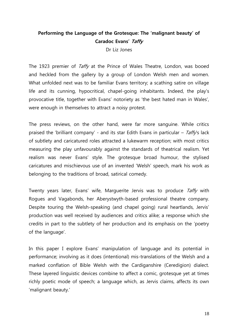#### **Performing the Language of the Grotesque: The 'malignant beauty' of Caradoc Evans' Taffy**

Dr Liz Jones

The 1923 premier of Taffy at the Prince of Wales Theatre, London, was booed and heckled from the gallery by a group of London Welsh men and women. What unfolded next was to be familiar Evans territory; a scathing satire on village life and its cunning, hypocritical, chapel-going inhabitants. Indeed, the play's provocative title, together with Evans' notoriety as 'the best hated man in Wales', were enough in themselves to attract a noisy protest.

The press reviews, on the other hand, were far more sanguine. While critics praised the 'brilliant company' - and its star Edith Evans in particular – Taffy's lack of subtlety and caricatured roles attracted a lukewarm reception; with most critics measuring the play unfavourably against the standards of theatrical realism. Yet realism was never Evans' style. The grotesque broad humour, the stylised caricatures and mischievous use of an invented 'Welsh' speech, mark his work as belonging to the traditions of broad, satirical comedy.

Twenty years later, Evans' wife, Marguerite Jervis was to produce Taffy with Rogues and Vagabonds, her Aberystwyth-based professional theatre company. Despite touring the Welsh-speaking (and chapel going) rural heartlands, Jervis' production was well received by audiences and critics alike; a response which she credits in part to the subtlety of her production and its emphasis on the 'poetry of the language'.

In this paper I explore Evans' manipulation of language and its potential in performance; involving as it does (intentional) mis-translations of the Welsh and a marked conflation of Bible Welsh with the Cardiganshire (Ceredigion) dialect. These layered linguistic devices combine to affect a comic, grotesque yet at times richly poetic mode of speech; a language which, as Jervis claims, affects its own 'malignant beauty.'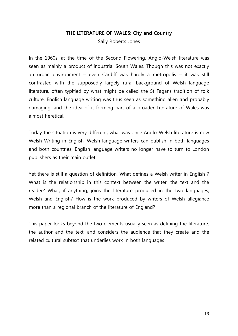#### **THE LITERATURE OF WALES: City and Country**

Sally Roberts Jones

In the 1960s, at the time of the Second Flowering, Anglo-Welsh literature was seen as mainly a product of industrial South Wales. Though this was not exactly an urban environment – even Cardiff was hardly a metropolis – it was still contrasted with the supposedly largely rural background of Welsh language literature, often typified by what might be called the St Fagans tradition of folk culture, English language writing was thus seen as something alien and probably damaging, and the idea of it forming part of a broader Literature of Wales was almost heretical.

Today the situation is very different; what was once Anglo-Welsh literature is now Welsh Writing in English, Welsh-language writers can publish in both languages and both countries, English language writers no longer have to turn to London publishers as their main outlet.

Yet there is still a question of definition. What defines a Welsh writer in English ? What is the relationship in this context between the writer, the text and the reader? What, if anything, joins the literature produced in the two languages, Welsh and English? How is the work produced by writers of Welsh allegiance more than a regional branch of the literature of England?

This paper looks beyond the two elements usually seen as defining the literature: the author and the text, and considers the audience that they create and the related cultural subtext that underlies work in both languages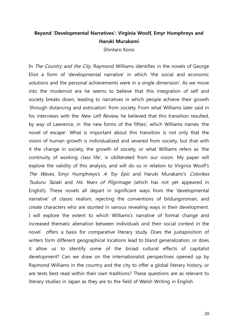#### **Beyond 'Developmental Narratives': Virginia Woolf, Emyr Humphreys and Haruki Murakami**

Shintaro Kono

In *The Country and the City*, Raymond Williams identifies in the novels of George Eliot a form of 'developmental narrative' in which 'the social and economic solutions and the personal achievements were in a single dimension'. As we move into the modernist era he seems to believe that this integration of self and society breaks down, leading to narratives in which people achieve their growth 'through distancing and extrication' from society. From what Williams later said in his interviews with the New Left Review, he believed that this transition resulted, by way of Lawrence, in 'the new forms of the fifties', which Williams names 'the novel of escape'. What is important about this transition is not only that the vision of human growth is individualized and severed from society, but that with it the change in society, the growth of society, or what Williams refers as 'the continuity of working class life', is obliterated from our vision. My paper will explore the validity of this analysis, and will do so in relation to Virginia Woolf's The Waves, Emyr Humphreys's A Toy Epic and Haruki Murakami's Colorless Tsukuru Tazaki and His Years of Pilgrimage (which has not yet appeared in English). These novels all depart in significant ways from the 'developmental narrative' of classic realism, rejecting the conventions of bildungsroman, and create characters who are stunted in various revealing ways in their development. I will explore the extent to which Williams's narrative of formal change and increased thematic alienation between individuals and their social context in the novel offers a basis for comparative literary study. Does the juxtaposition of writers form different geographical locations lead to bland generalization, or does it allow us to identify some of the broad cultural effects of capitalist development? Can we draw on the internationalist perspectives opened up by Raymond Williams in the country and the city to offer a global literary history, or are texts best read within their own traditions? These questions are as relevant to literary studies in Japan as they are to the field of Welsh Writing in English.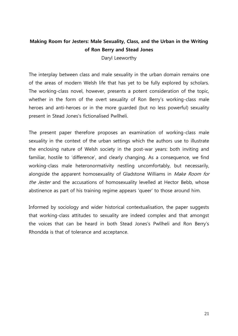## **Making Room for Jesters: Male Sexuality, Class, and the Urban in the Writing of Ron Berry and Stead Jones**

Daryl Leeworthy

The interplay between class and male sexuality in the urban domain remains one of the areas of modern Welsh life that has yet to be fully explored by scholars. The working-class novel, however, presents a potent consideration of the topic, whether in the form of the overt sexuality of Ron Berry's working-class male heroes and anti-heroes or in the more guarded (but no less powerful) sexuality present in Stead Jones's fictionalised Pwllheli.

The present paper therefore proposes an examination of working-class male sexuality in the context of the urban settings which the authors use to illustrate the enclosing nature of Welsh society in the post-war years: both inviting and familiar, hostile to 'difference', and clearly changing. As a consequence, we find working-class male heteronormativity nestling uncomfortably, but necessarily, alongside the apparent homosexuality of Gladstone Williams in Make Room for the Jester and the accusations of homosexuality levelled at Hector Bebb, whose abstinence as part of his training regime appears 'queer' to those around him.

Informed by sociology and wider historical contextualisation, the paper suggests that working-class attitudes to sexuality are indeed complex and that amongst the voices that can be heard in both Stead Jones's Pwllheli and Ron Berry's Rhondda is that of tolerance and acceptance.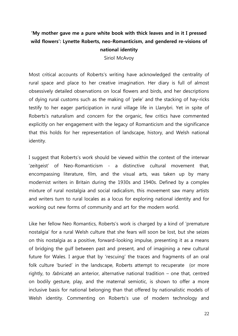## **'My mother gave me a pure white book with thick leaves and in it I pressed wild flowers': Lynette Roberts, neo-Romanticism, and gendered re-visions of national identity**

Siriol McAvoy

Most critical accounts of Roberts's writing have acknowledged the centrality of rural space and place to her creative imagination. Her diary is full of almost obsessively detailed observations on local flowers and birds, and her descriptions of dying rural customs such as the making of 'pele' and the stacking of hay-ricks testify to her eager participation in rural village life in Llanybri. Yet in spite of Roberts's naturalism and concern for the organic, few critics have commented explicitly on her engagement with the legacy of Romanticism and the significance that this holds for her representation of landscape, history, and Welsh national identity.

I suggest that Roberts's work should be viewed within the context of the interwar 'zeitgeist' of Neo-Romanticism - a distinctive cultural movement that, encompassing literature, film, and the visual arts, was taken up by many modernist writers in Britain during the 1930s and 1940s. Defined by a complex mixture of rural nostalgia and social radicalism, this movement saw many artists and writers turn to rural locales as a locus for exploring national identity and for working out new forms of community and art for the modern world.

Like her fellow Neo Romantics, Roberts's work is charged by a kind of 'premature nostalgia' for a rural Welsh culture that she fears will soon be lost, but she seizes on this nostalgia as a positive, forward-looking impulse, presenting it as a means of bridging the gulf between past and present, and of imagining a new cultural future for Wales. I argue that by 'rescuing' the traces and fragments of an oral folk culture 'buried' in the landscape, Roberts attempt to recuperate (or more rightly, to *fabricate*) an anterior, alternative national tradition – one that, centred on bodily gesture, play, and the maternal semiotic, is shown to offer a more inclusive basis for national belonging than that offered by nationalistic models of Welsh identity. Commenting on Roberts's use of modern technology and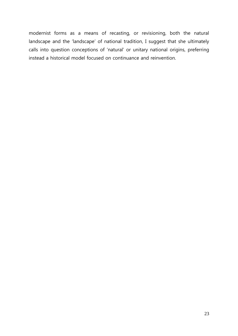modernist forms as a means of recasting, or revisioning, both the natural landscape and the 'landscape' of national tradition, I suggest that she ultimately calls into question conceptions of 'natural' or unitary national origins, preferring instead a historical model focused on continuance and reinvention.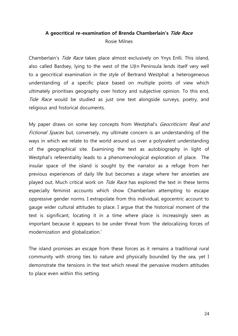## **A geocritical re-examination of Brenda Chamberlain's Tide Race** Rosie Milnes

Chamberlain's Tide Race takes place almost exclusively on Ynys Enlli. This island, also called Bardsey, lying to the west of the Llŷn Peninsula lends itself very well to a geocritical examination in the style of Bertrand Westphal: a heterogeneous understanding of a specific place based on multiple points of view which ultimately prioritises geography over history and subjective opinion. To this end, Tide Race would be studied as just one text alongside surveys, poetry, and religious and historical documents.

My paper draws on some key concepts from Westphal's *Geocriticism: Real and* Fictional Spaces but, conversely, my ultimate concern is an understanding of the ways in which we relate to the world around us over a polyvalent understanding of the geographical site. Examining the text as autobiography in light of Westphal's referentiality leads to a phenomenological exploration of place. The insular space of the island is sought by the narrator as a refuge from her previous experiences of daily life but becomes a stage where her anxieties are played out. Much critical work on *Tide Race* has explored the text in these terms especially feminist accounts which show Chamberlain attempting to escape oppressive gender norms. I extrapolate from this individual, egocentric account to gauge wider cultural attitudes to place. I argue that the historical moment of the text is significant, locating it in a time where place is increasingly seen as important because it appears to be under threat from 'the delocalizing forces of modernization and globalization.'

The island promises an escape from these forces as it remains a traditional rural community with strong ties to nature and physically bounded by the sea, yet I demonstrate the tensions in the text which reveal the pervasive modern attitudes to place even within this setting.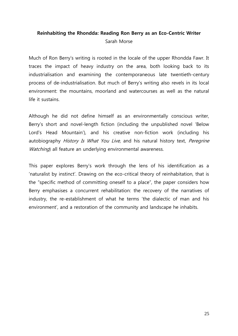## **Reinhabiting the Rhondda: Reading Ron Berry as an Eco-Centric Writer** Sarah Morse

Much of Ron Berry's writing is rooted in the locale of the upper Rhondda Fawr. It traces the impact of heavy industry on the area, both looking back to its industrialisation and examining the contemporaneous late twentieth-century process of de-industrialisation. But much of Berry's writing also revels in its local environment: the mountains, moorland and watercourses as well as the natural life it sustains.

Although he did not define himself as an environmentally conscious writer, Berry's short and novel-length fiction (including the unpublished novel 'Below Lord's Head Mountain'), and his creative non-fiction work (including his autobiography History Is What You Live, and his natural history text, Peregrine Watching) all feature an underlying environmental awareness.

This paper explores Berry's work through the lens of his identification as a 'naturalist by instinct'. Drawing on the eco-critical theory of reinhabitation, that is the "specific method of committing oneself to a place", the paper considers how Berry emphasises a concurrent rehabilitation: the recovery of the narratives of industry, the re-establishment of what he terms 'the dialectic of man and his environment', and a restoration of the community and landscape he inhabits.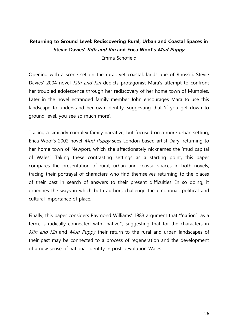#### **Returning to Ground Level: Rediscovering Rural, Urban and Coastal Spaces in Stevie Davies' Kith and Kin and Erica Woof's Mud Puppy**

Emma Schofield

Opening with a scene set on the rural, yet coastal, landscape of Rhossili, Stevie Davies' 2004 novel Kith and Kin depicts protagonist Mara's attempt to confront her troubled adolescence through her rediscovery of her home town of Mumbles. Later in the novel estranged family member John encourages Mara to use this landscape to understand her own identity, suggesting that 'if you get down to ground level, you see so much more'.

Tracing a similarly complex family narrative, but focused on a more urban setting, Erica Woof's 2002 novel *Mud Puppy* sees London-based artist Daryl returning to her home town of Newport, which she affectionately nicknames the 'mud capital of Wales'. Taking these contrasting settings as a starting point, this paper compares the presentation of rural, urban and coastal spaces in both novels, tracing their portrayal of characters who find themselves returning to the places of their past in search of answers to their present difficulties. In so doing, it examines the ways in which both authors challenge the emotional, political and cultural importance of place.

Finally, this paper considers Raymond Williams' 1983 argument that '"nation", as a term, is radically connected with "native"', suggesting that for the characters in Kith and Kin and Mud Puppy their return to the rural and urban landscapes of their past may be connected to a process of regeneration and the development of a new sense of national identity in post-devolution Wales.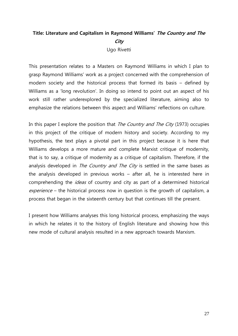## **Title: Literature and Capitalism in Raymond Williams' The Country and The City**

Ugo Rivetti

This presentation relates to a Masters on Raymond Williams in which I plan to grasp Raymond Williams' work as a project concerned with the comprehension of modern society and the historical process that formed its basis – defined by Williams as a 'long revolution'. In doing so intend to point out an aspect of his work still rather underexplored by the specialized literature, aiming also to emphasize the relations between this aspect and Williams' reflections on culture.

In this paper I explore the position that *The Country and The City* (1973) occupies in this project of the critique of modern history and society. According to my hypothesis, the text plays a pivotal part in this project because it is here that Williams develops a more mature and complete Marxist critique of modernity, that is to say, a critique of modernity as a critique of capitalism. Therefore, if the analysis developed in The Country and The City is settled in the same bases as the analysis developed in previous works – after all, he is interested here in comprehending the *ideas* of country and city as part of a determined historical experience – the historical process now in question is the growth of capitalism, a process that began in the sixteenth century but that continues till the present.

I present how Williams analyses this long historical process, emphasizing the ways in which he relates it to the history of English literature and showing how this new mode of cultural analysis resulted in a new approach towards Marxism.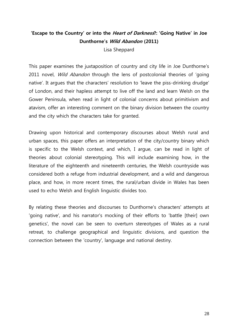## **'Escape to the Country' or into the Heart of Darkness?: 'Going Native' in Joe Dunthorne's Wild Abandon (2011)**

Lisa Sheppard

This paper examines the juxtaposition of country and city life in Joe Dunthorne's 2011 novel, *Wild Abandon* through the lens of postcolonial theories of 'going native'. It argues that the characters' resolution to 'leave the piss-drinking drudge' of London, and their hapless attempt to live off the land and learn Welsh on the Gower Peninsula, when read in light of colonial concerns about primitivism and atavism, offer an interesting comment on the binary division between the country and the city which the characters take for granted.

Drawing upon historical and contemporary discourses about Welsh rural and urban spaces, this paper offers an interpretation of the city/country binary which is specific to the Welsh context, and which, I argue, can be read in light of theories about colonial stereotyping. This will include examining how, in the literature of the eighteenth and nineteenth centuries, the Welsh countryside was considered both a refuge from industrial development, and a wild and dangerous place, and how, in more recent times, the rural/urban divide in Wales has been used to echo Welsh and English linguistic divides too.

By relating these theories and discourses to Dunthorne's characters' attempts at 'going native', and his narrator's mocking of their efforts to 'battle [their] own genetics', the novel can be seen to overturn stereotypes of Wales as a rural retreat, to challenge geographical and linguistic divisions, and question the connection between the 'country', language and national destiny.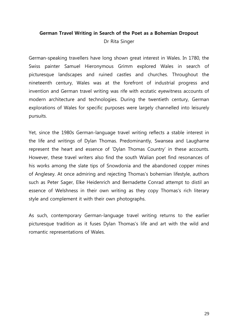## **German Travel Writing in Search of the Poet as a Bohemian Dropout**

Dr Rita Singer

German-speaking travellers have long shown great interest in Wales. In 1780, the Swiss painter Samuel Hieronymous Grimm explored Wales in search of picturesque landscapes and ruined castles and churches. Throughout the nineteenth century, Wales was at the forefront of industrial progress and invention and German travel writing was rife with ecstatic eyewitness accounts of modern architecture and technologies. During the twentieth century, German explorations of Wales for specific purposes were largely channelled into leisurely pursuits.

Yet, since the 1980s German-language travel writing reflects a stable interest in the life and writings of Dylan Thomas. Predominantly, Swansea and Laugharne represent the heart and essence of 'Dylan Thomas Country' in these accounts. However, these travel writers also find the south Walian poet find resonances of his works among the slate tips of Snowdonia and the abandoned copper mines of Anglesey. At once admiring and rejecting Thomas's bohemian lifestyle, authors such as Peter Sager, Elke Heidenrich and Bernadette Conrad attempt to distil an essence of Welshness in their own writing as they copy Thomas's rich literary style and complement it with their own photographs.

As such, contemporary German-language travel writing returns to the earlier picturesque tradition as it fuses Dylan Thomas's life and art with the wild and romantic representations of Wales.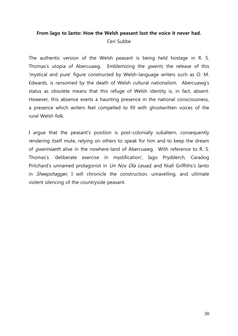## **From Iago to Ianto: How the Welsh peasant lost the voice it never had.** Ceri Subbe

The authentic version of the Welsh peasant is being held hostage in R. S. Thomas's utopia of Abercuawg. Emblemizing the *qwerin*, the release of this 'mystical and pure' figure constructed by Welsh-language writers such as O. M. Edwards, is ransomed by the death of Welsh cultural nationalism. Abercuawg's status as obsolete means that this refuge of Welsh identity is, in fact, absent. However, this absence exerts a haunting presence in the national consciousness, a presence which writers feel compelled to fill with ghostwritten voices of the rural Welsh folk.

I argue that the peasant's position is post-colonially subaltern, consequently rendering itself mute, relying on others to speak for him and to keep the dream of *gweriniaeth* alive in the nowhere-land of Abercuawg. With reference to R. S. Thomas's 'deliberate exercise in mystification', Iago Prydderch, Caradog Pritchard's unnamed protagonist in Un Nos Ola Leuad, and Niall Griffiths's Ianto in *Sheepshagger*, I will chronicle the construction, unravelling, and ultimate violent silencing of the countryside peasant.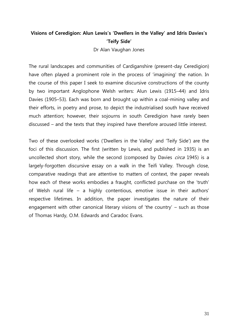#### **Visions of Ceredigion: Alun Lewis's 'Dwellers in the Valley' and Idris Davies's 'Teify Side'**

Dr Alan Vaughan Jones

The rural landscapes and communities of Cardiganshire (present-day Ceredigion) have often played a prominent role in the process of 'imagining' the nation. In the course of this paper I seek to examine discursive constructions of the county by two important Anglophone Welsh writers: Alun Lewis (1915–44) and Idris Davies (1905–53). Each was born and brought up within a coal-mining valley and their efforts, in poetry and prose, to depict the industrialised south have received much attention; however, their sojourns in south Ceredigion have rarely been discussed – and the texts that they inspired have therefore aroused little interest.

Two of these overlooked works ('Dwellers in the Valley' and 'Teify Side') are the foci of this discussion. The first (written by Lewis, and published in 1935) is an uncollected short story, while the second (composed by Davies *circa* 1945) is a largely-forgotten discursive essay on a walk in the Teifi Valley. Through close, comparative readings that are attentive to matters of context, the paper reveals how each of these works embodies a fraught, conflicted purchase on the 'truth' of Welsh rural life – a highly contentious, emotive issue in their authors' respective lifetimes. In addition, the paper investigates the nature of their engagement with other canonical literary visions of 'the country' – such as those of Thomas Hardy, O.M. Edwards and Caradoc Evans.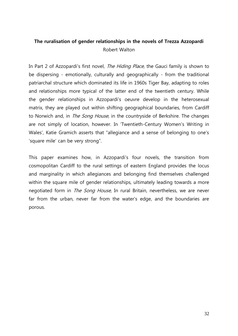#### **The ruralisation of gender relationships in the novels of Trezza Azzopardi** Robert Walton

In Part 2 of Azzopardi's first novel, The Hiding Place, the Gauci family is shown to be dispersing - emotionally, culturally and geographically - from the traditional patriarchal structure which dominated its life in 1960s Tiger Bay, adapting to roles and relationships more typical of the latter end of the twentieth century. While the gender relationships in Azzopardi's oeuvre develop in the heterosexual matrix, they are played out within shifting geographical boundaries, from Cardiff to Norwich and, in *The Song House*, in the countryside of Berkshire. The changes are not simply of location, however. In 'Twentieth-Century Women's Writing in Wales', Katie Gramich asserts that "allegiance and a sense of belonging to one's 'square mile' can be very strong".

This paper examines how, in Azzopardi's four novels, the transition from cosmopolitan Cardiff to the rural settings of eastern England provides the locus and marginality in which allegiances and belonging find themselves challenged within the square mile of gender relationships, ultimately leading towards a more negotiated form in *The Song House*, In rural Britain, nevertheless, we are never far from the urban, never far from the water's edge, and the boundaries are porous.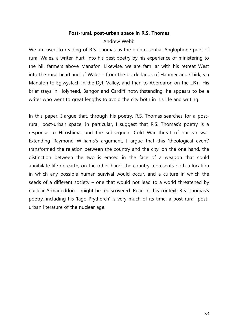#### **Post-rural, post-urban space in R.S. Thomas**

#### Andrew Webb

We are used to reading of R.S. Thomas as the quintessential Anglophone poet of rural Wales, a writer 'hurt' into his best poetry by his experience of ministering to the hill farmers above Manafon. Likewise, we are familiar with his retreat West into the rural heartland of Wales - from the borderlands of Hanmer and Chirk, via Manafon to Eglwysfach in the Dyfi Valley, and then to Aberdaron on the Llŷn. His brief stays in Holyhead, Bangor and Cardiff notwithstanding, he appears to be a writer who went to great lengths to avoid the city both in his life and writing.

In this paper, I argue that, through his poetry, R.S. Thomas searches for a postrural, post-urban space. In particular, I suggest that R.S. Thomas's poetry is a response to Hiroshima, and the subsequent Cold War threat of nuclear war. Extending Raymond Williams's argument, I argue that this 'theological event' transformed the relation between the country and the city: on the one hand, the distinction between the two is erased in the face of a weapon that could annihilate life on earth; on the other hand, the country represents both a location in which any possible human survival would occur, and a culture in which the seeds of a different society – one that would not lead to a world threatened by nuclear Armageddon – might be rediscovered. Read in this context, R.S. Thomas's poetry, including his 'Iago Prytherch' is very much of its time: a post-rural, posturban literature of the nuclear age.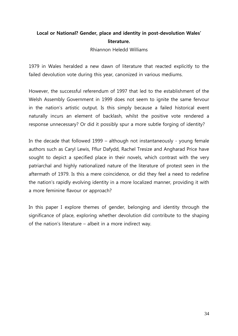## **Local or National? Gender, place and identity in post-devolution Wales' literature.**

Rhiannon Heledd Williams

1979 in Wales heralded a new dawn of literature that reacted explicitly to the failed devolution vote during this year, canonized in various mediums.

However, the successful referendum of 1997 that led to the establishment of the Welsh Assembly Government in 1999 does not seem to ignite the same fervour in the nation's artistic output. Is this simply because a failed historical event naturally incurs an element of backlash, whilst the positive vote rendered a response unnecessary? Or did it possibly spur a more subtle forging of identity?

In the decade that followed 1999 – although not instantaneously - young female authors such as Caryl Lewis, Fflur Dafydd, Rachel Tresize and Angharad Price have sought to depict a specified place in their novels, which contrast with the very patriarchal and highly nationalized nature of the literature of protest seen in the aftermath of 1979. Is this a mere coincidence, or did they feel a need to redefine the nation's rapidly evolving identity in a more localized manner, providing it with a more feminine flavour or approach?

In this paper I explore themes of gender, belonging and identity through the significance of place, exploring whether devolution did contribute to the shaping of the nation's literature – albeit in a more indirect way.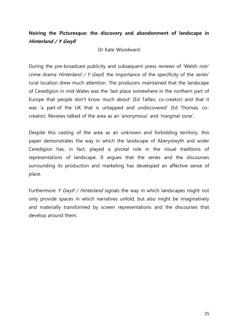#### **Noiring the Picturesque: the discovery and abandonment of landscape in Hinterland / Y Gwyll**

#### Dr Kate Woodward

During the pre-broadcast publicity and subsequent press reviews of 'Welsh noir' crime drama *Hinterland / Y Gwyll*, the importance of the specificity of the series' rural location drew much attention. The producers maintained that the landscape of Ceredigion in mid-Wales was the 'last place somewhere in the northern part of Europe that people don't know much about' (Ed Talfan, co-creator) and that it was 'a part of the UK that is untapped and undiscovered' (Ed Thomas, cocreator). Reviews talked of the area as an 'anonymous' and 'marginal zone'.

Despite this casting of the area as an unknown and forbidding territory, this paper demonstrates the way in which the landscape of Aberystwyth and wider Ceredigion has, in fact, played a pivotal role in the visual traditions of representations of landscape. It argues that the series and the discourses surrounding its production and marketing has developed an affective sense of place.

Furthermore Y Gwyll / Hinterland signals the way in which landscapes might not only provide spaces in which narratives unfold, but also might be imaginatively and materially transformed by screen representations and the discourses that develop around them.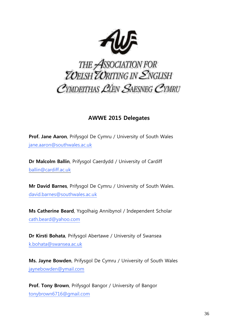

# THE ASSOCIATION FOR<br>TOELSH TORITING IN ENGLISH CYMDEITHAS LIEN SAESNEG CYMRU

## **AWWE 2015 Delegates**

**Prof. Jane Aaron**, Prifysgol De Cymru / University of South Wales [jane.aaron@southwales.ac.uk](mailto:jane.aaron@southwales.ac.uk)

**Dr Malcolm Ballin**, Prifysgol Caerdydd / University of Cardiff [ballin@cardiff.ac.uk](mailto:ballin@cardiff.ac.uk)

**Mr David Barnes**, Prifysgol De Cymru / University of South Wales. [david.barnes@southwales.ac.uk](mailto:david.barnes@southwales.ac.uk)

**Ms Catherine Beard**, Ysgolhaig Annibynol / Independent Scholar [cath.beard@yahoo.com](mailto:cath.beard@yahoo.com)

**Dr Kirsti Bohata**, Prifysgol Abertawe / University of Swansea [k.bohata@swansea.ac.uk](mailto:k.bohata@swansea.ac.uk)

**Ms. Jayne Bowden**, Prifysgol De Cymru / University of South Wales [jaynebowden@ymail.com](mailto:jaynebowden@ymail.com)

**Prof. Tony Brown**, Prifysgol Bangor / University of Bangor [tonybrown6716@gmail.com](mailto:tonybrown6716@gmail.com)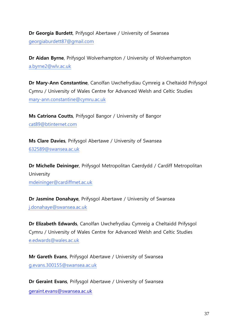**Dr Georgia Burdett**, Prifysgol Abertawe / University of Swansea [georgiaburdett87@gmail.com](mailto:georgiaburdett87@gmail.com)

**Dr Aidan Byrne**, Prifysgol Wolverhampton / University of Wolverhampton [a.byrne2@wlv.ac.uk](mailto:a.byrne2@wlv.ac.uk)

**Dr Mary-Ann Constantine**, Canolfan Uwchefrydiau Cymreig a Cheltaidd Prifysgol Cymru / University of Wales Centre for Advanced Welsh and Celtic Studies [mary-ann.constantine@cymru.ac.uk](mailto:mary-ann.constantine@cymru.ac.uk)

**Ms Catriona Coutts**, Prifysgol Bangor / University of Bangor [cat89@btinternet.com](mailto:cat89@btinternet.com)

**Ms Clare Davies**, Prifysgol Abertawe / University of Swansea [632589@swansea.ac.uk](mailto:632589@swansea.ac.uk)

**Dr Michelle Deininger**, Prifysgol Metropolitan Caerdydd / Cardiff Metropolitan University [mdeininger@cardiffmet.ac.uk](mailto:mdeininger@cardiffmet.ac.uk)

**Dr Jasmine Donahaye**, Prifysgol Abertawe / University of Swansea [j.donahaye@swansea.ac.uk](mailto:j.donahaye@swansea.ac.uk)

**Dr Elizabeth Edwards**, Canolfan Uwchefrydiau Cymreig a Cheltaidd Prifysgol Cymru / University of Wales Centre for Advanced Welsh and Celtic Studies [e.edwards@wales.ac.uk](mailto:e.edwards@wales.ac.uk)

**Mr Gareth Evans**, Prifysgol Abertawe / University of Swansea [g.evans.300155@swansea.ac.uk](mailto:g.evans.300155@swansea.ac.uk)

**Dr Geraint Evans**, Prifysgol Abertawe / University of Swansea [geraint.evans@swansea.ac.uk](mailto:geraint.evans@swansea.ac.uk)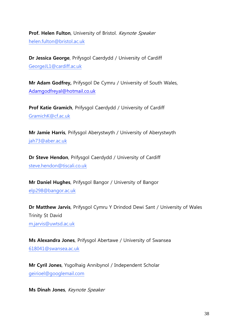**Prof. Helen Fulton**, University of Bristol. Keynote Speaker [helen.fulton@bristol.ac.uk](mailto:helen.fulton@bristol.ac.uk)

**Dr Jessica George**, Prifysgol Caerdydd / University of Cardiff [GeorgeJL1@cardiff.ac.uk](mailto:GeorgeJL1@cardiff.ac.uk)

**Mr Adam Godfrey,** Prifysgol De Cymru / University of South Wales, [Adamgodfreyal@hotmail.co.uk](mailto:Adamgodfreyal@hotmail.co.uk)

**Prof Katie Gramich**, Prifysgol Caerdydd / University of Cardiff [GramichK@cf.ac.uk](mailto:GramichK@cf.ac.uk)

**Mr Jamie Harris**, Prifysgol Aberystwyth / University of Aberystwyth [jah73@aber.ac.uk](mailto:jah73@aber.ac.uk)

**Dr Steve Hendon**, Prifysgol Caerdydd / University of Cardiff [steve.hendon@tiscali.co.uk](mailto:steve.hendon@tiscali.co.uk)

**Mr Daniel Hughes**, Prifysgol Bangor / University of Bangor [elp298@bangor.ac.uk](mailto:elp298@bangor.ac.uk)

**Dr Matthew Jarvis**, Prifysgol Cymru Y Drindod Dewi Sant / University of Wales Trinity St David [m.jarvis@uwtsd.ac.uk](mailto:m.jarvis@uwtsd.ac.uk)

**Ms Alexandra Jones**, Prifysgol Abertawe / University of Swansea [618041@swansea.ac.uk](mailto:618041@swansea.ac.uk)

**Mr Cyril Jones**, Ysgolhaig Annibynol / Independent Scholar [geirioel@googlemail.com](mailto:geirioel@googlemail.com)

**Ms Dinah Jones**, Keynote Speaker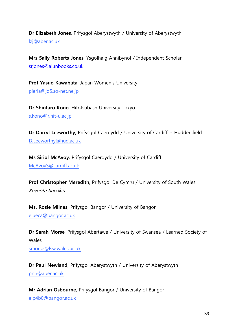**Dr Elizabeth Jones**, Prifysgol Aberystwyth / University of Aberystwyth [lzj@aber.ac.uk](mailto:lzj@aber.ac.uk)

**Mrs Sally Roberts Jones**, Ysgolhaig Annibynol / Independent Scholar [srjones@alunbooks.co.uk](mailto:srjones@alunbooks.co.uk)

**Prof Yasuo Kawabata**, Japan Women's University [pieria@jd5.so-net.ne.jp](mailto:pieria@jd5.so-net.ne.jp)

**Dr Shintaro Kono**, Hitotsubash University Tokyo. [s.kono@r.hit-u.ac.jp](mailto:s.kono@r.hit-u.ac.jp)

**Dr Darryl Leeworthy**, Prifysgol Caerdydd / University of Cardiff + Huddersfield D.Leeworthy@hud.ac.uk

**Ms Siriol McAvoy**, Prifysgol Caerdydd / University of Cardiff [McAvoyS@cardiff.ac.uk](mailto:McAvoyS@cardiff.ac.uk)

**Prof Christopher Meredith**, Prifysgol De Cymru / University of South Wales. Keynote Speaker

**Ms. Rosie Milnes**, Prifysgol Bangor / University of Bangor [elueca@bangor.ac.uk](mailto:elueca@bangor.ac.uk)

**Dr Sarah Morse**, Prifysgol Abertawe / University of Swansea / Learned Society of Wales [smorse@lsw.wales.ac.uk](mailto:smorse@lsw.wales.ac.uk)

**Dr Paul Newland**, Prifysgol Aberystwyth / University of Aberystwyth [pnn@aber.ac.uk](mailto:pnn@aber.ac.uk)

**Mr Adrian Osbourne**, Prifysgol Bangor / University of Bangor [elp4b0@bangor.ac.uk](mailto:elp4b0@bangor.ac.uk)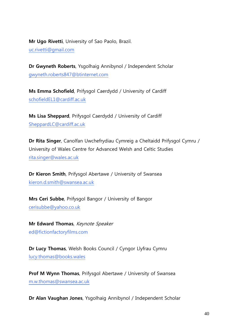**Mr Ugo Rivetti**, University of Sao Paolo, Brazil.

[uc.rivetti@gmail.com](mailto:uc.rivetti@gmail.com)

**Dr Gwyneth Roberts**, Ysgolhaig Annibynol / Independent Scholar [gwyneth.roberts847@btinternet.com](mailto:gwyneth.roberts847@btinternet.com)

**Ms Emma Schofield**, Prifysgol Caerdydd / University of Cardiff [schofieldEL1@cardiff.ac.uk](mailto:schofieldEL1@cardiff.ac.uk)

**Ms Lisa Sheppard**, Prifysgol Caerdydd / University of Cardiff [SheppardLC@cardiff.ac.uk](mailto:SheppardLC@cardiff.ac.uk)

**Dr Rita Singer**, Canolfan Uwchefrydiau Cymreig a Cheltaidd Prifysgol Cymru / University of Wales Centre for Advanced Welsh and Celtic Studies [rita.singer@wales.ac.uk](mailto:rita.singer@wales.ac.uk)

**Dr Kieron Smith**, Prifysgol Abertawe / University of Swansea [kieron.d.smith@swansea.ac.uk](mailto:kieron.d.smith@swansea.ac.uk)

**Mrs Ceri Subbe**, Prifysgol Bangor / University of Bangor [cerisubbe@yahoo.co.uk](mailto:cerisubbe@yahoo.co.uk)

**Mr Edward Thomas**, Keynote Speaker ed@fictionfactoryfilms.com

**Dr Lucy Thomas**, Welsh Books Council / Cyngor Llyfrau Cymru [lucy.thomas@books.wales](mailto:lucy.thomas@books.wales)

**Prof M Wynn Thomas**, Prifysgol Abertawe / University of Swansea [m.w.thomas@swansea.ac.uk](mailto:m.w.thomas@swansea.ac.uk)

**Dr Alan Vaughan Jones**, Ysgolhaig Annibynol / Independent Scholar